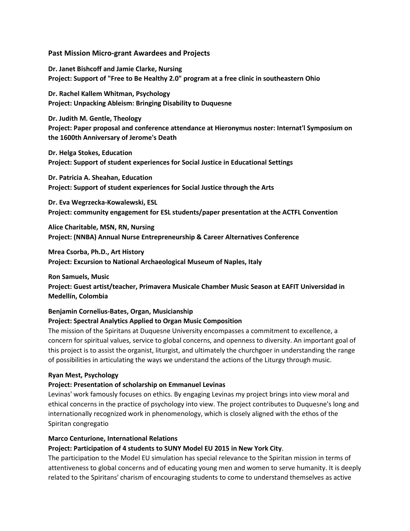**Past Mission Micro-grant Awardees and Projects**

**Dr. Janet Bishcoff and Jamie Clarke, Nursing Project: Support of "Free to Be Healthy 2.0" program at a free clinic in southeastern Ohio**

**Dr. Rachel Kallem Whitman, Psychology Project: Unpacking Ableism: Bringing Disability to Duquesne**

**Dr. Judith M. Gentle, Theology Project: Paper proposal and conference attendance at Hieronymus noster: Internat'l Symposium on the 1600th Anniversary of Jerome's Death**

**Dr. Helga Stokes, Education Project: Support of student experiences for Social Justice in Educational Settings**

**Dr. Patricia A. Sheahan, Education Project: Support of student experiences for Social Justice through the Arts**

**Dr. Eva Wegrzecka-Kowalewski, ESL Project: community engagement for ESL students/paper presentation at the ACTFL Convention**

**Alice Charitable, MSN, RN, Nursing Project: (NNBA) Annual Nurse Entrepreneurship & Career Alternatives Conference**

**Mrea Csorba, Ph.D., Art History Project: Excursion to National Archaeological Museum of Naples, Italy**

**Ron Samuels, Music Project: Guest artist/teacher, Primavera Musicale Chamber Music Season at EAFIT Universidad in Medellín, Colombia**

## **Benjamin Cornelius-Bates, Organ, Musicianship**

## **Project: Spectral Analytics Applied to Organ Music Composition**

The mission of the Spiritans at Duquesne University encompasses a commitment to excellence, a concern for spiritual values, service to global concerns, and openness to diversity. An important goal of this project is to assist the organist, liturgist, and ultimately the churchgoer in understanding the range of possibilities in articulating the ways we understand the actions of the Liturgy through music.

#### **Ryan Mest, Psychology**

#### **Project: Presentation of scholarship on Emmanuel Levinas**

Levinas' work famously focuses on ethics. By engaging Levinas my project brings into view moral and ethical concerns in the practice of psychology into view. The project contributes to Duquesne's long and internationally recognized work in phenomenology, which is closely aligned with the ethos of the Spiritan congregatio

#### **Marco Centurione, International Relations**

#### **Project: Participation of 4 students to SUNY Model EU 2015 in New York City**.

The participation to the Model EU simulation has special relevance to the Spiritan mission in terms of attentiveness to global concerns and of educating young men and women to serve humanity. It is deeply related to the Spiritans' charism of encouraging students to come to understand themselves as active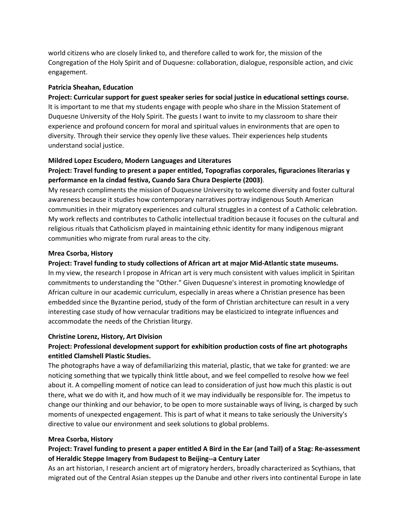world citizens who are closely linked to, and therefore called to work for, the mission of the Congregation of the Holy Spirit and of Duquesne: collaboration, dialogue, responsible action, and civic engagement.

#### **Patricia Sheahan, Education**

#### **Project: Curricular support for guest speaker series for social justice in educational settings course.**

It is important to me that my students engage with people who share in the Mission Statement of Duquesne University of the Holy Spirit. The guests I want to invite to my classroom to share their experience and profound concern for moral and spiritual values in environments that are open to diversity. Through their service they openly live these values. Their experiences help students understand social justice.

#### **Mildred Lopez Escudero, Modern Languages and Literatures**

# **Project: Travel funding to present a paper entitled, Topografias corporales, figuraciones literarias y performance en la cindad festiva, Cuando Sara Chura Despierte (2003)**.

My research compliments the mission of Duquesne University to welcome diversity and foster cultural awareness because it studies how contemporary narratives portray indigenous South American communities in their migratory experiences and cultural struggles in a contest of a Catholic celebration. My work reflects and contributes to Catholic intellectual tradition because it focuses on the cultural and religious rituals that Catholicism played in maintaining ethnic identity for many indigenous migrant communities who migrate from rural areas to the city.

#### **Mrea Csorba, History**

#### **Project: Travel funding to study collections of African art at major Mid-Atlantic state museums.**

In my view, the research I propose in African art is very much consistent with values implicit in Spiritan commitments to understanding the "Other." Given Duquesne's interest in promoting knowledge of African culture in our academic curriculum, especially in areas where a Christian presence has been embedded since the Byzantine period, study of the form of Christian architecture can result in a very interesting case study of how vernacular traditions may be elasticized to integrate influences and accommodate the needs of the Christian liturgy.

#### **Christine Lorenz, History, Art Division**

# **Project: Professional development support for exhibition production costs of fine art photographs entitled Clamshell Plastic Studies.**

The photographs have a way of defamiliarizing this material, plastic, that we take for granted: we are noticing something that we typically think little about, and we feel compelled to resolve how we feel about it. A compelling moment of notice can lead to consideration of just how much this plastic is out there, what we do with it, and how much of it we may individually be responsible for. The impetus to change our thinking and our behavior, to be open to more sustainable ways of living, is charged by such moments of unexpected engagement. This is part of what it means to take seriously the University's directive to value our environment and seek solutions to global problems.

#### **Mrea Csorba, History**

# **Project: Travel funding to present a paper entitled A Bird in the Ear (and Tail) of a Stag: Re-assessment of Heraldic Steppe Imagery from Budapest to Beijing--a Century Later**

As an art historian, I research ancient art of migratory herders, broadly characterized as Scythians, that migrated out of the Central Asian steppes up the Danube and other rivers into continental Europe in late